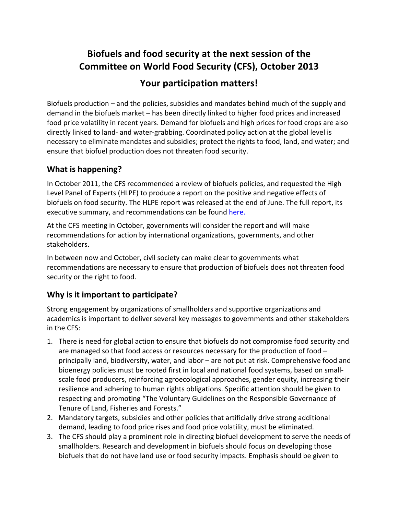# **Biofuels** and food security at the next session of the **Committee on World Food Security (CFS), October 2013**

## Your participation matters!

Biofuels production  $-$  and the policies, subsidies and mandates behind much of the supply and demand in the biofuels market – has been directly linked to higher food prices and increased food price volatility in recent years. Demand for biofuels and high prices for food crops are also directly linked to land- and water-grabbing. Coordinated policy action at the global level is necessary to eliminate mandates and subsidies; protect the rights to food, land, and water; and ensure that biofuel production does not threaten food security.

### **What is happening?**

In October 2011, the CFS recommended a review of biofuels policies, and requested the High Level Panel of Experts (HLPE) to produce a report on the positive and negative effects of biofuels on food security. The HLPE report was released at the end of June. The full report, its executive summary, and recommendations can be found here.

At the CFS meeting in October, governments will consider the report and will make recommendations for action by international organizations, governments, and other stakeholders. 

In between now and October, civil society can make clear to governments what recommendations are necessary to ensure that production of biofuels does not threaten food security or the right to food.

### **Why is it important to participate?**

Strong engagement by organizations of smallholders and supportive organizations and academics is important to deliver several key messages to governments and other stakeholders in the CFS:

- 1. There is need for global action to ensure that biofuels do not compromise food security and are managed so that food access or resources necessary for the production of food  $$ principally land, biodiversity, water, and labor – are not put at risk. Comprehensive food and bioenergy policies must be rooted first in local and national food systems, based on smallscale food producers, reinforcing agroecological approaches, gender equity, increasing their resilience and adhering to human rights obligations. Specific attention should be given to respecting and promoting "The Voluntary Guidelines on the Responsible Governance of Tenure of Land, Fisheries and Forests."
- 2. Mandatory targets, subsidies and other policies that artificially drive strong additional demand, leading to food price rises and food price volatility, must be eliminated.
- 3. The CFS should play a prominent role in directing biofuel development to serve the needs of smallholders. Research and development in biofuels should focus on developing those biofuels that do not have land use or food security impacts. Emphasis should be given to